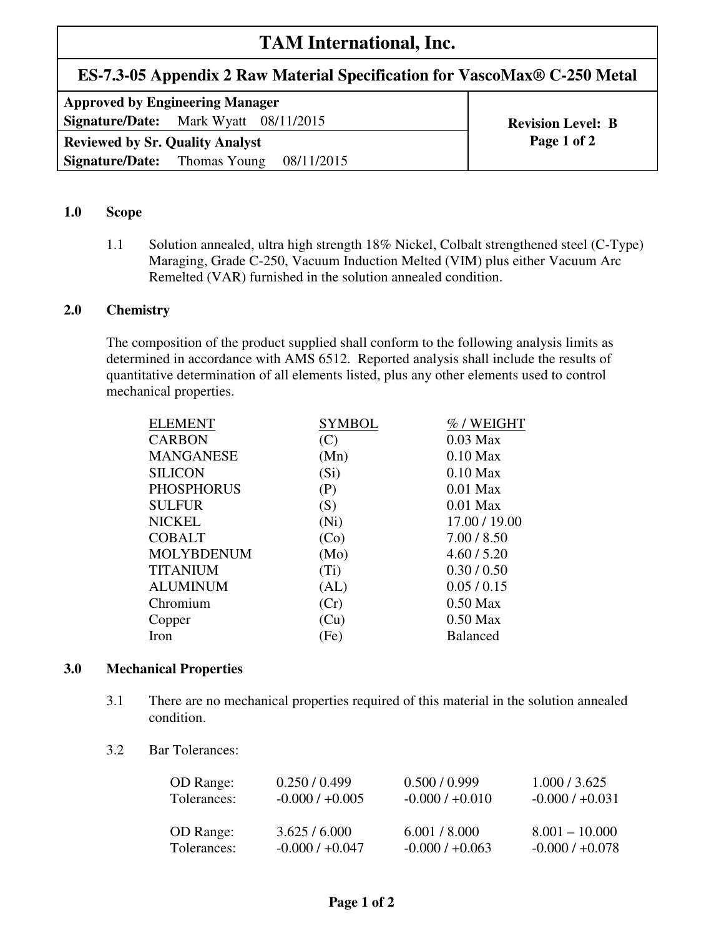# **TAM International, Inc.**

# **ES-7.3-05 Appendix 2 Raw Material Specification for VascoMax® C-250 Metal**

| <b>Approved by Engineering Manager</b>            |                          |  |  |  |
|---------------------------------------------------|--------------------------|--|--|--|
| <b>Signature/Date:</b> Mark Wyatt 08/11/2015      | <b>Revision Level: B</b> |  |  |  |
| <b>Reviewed by Sr. Quality Analyst</b>            | Page 1 of 2              |  |  |  |
| <b>Signature/Date:</b> Thomas Young<br>08/11/2015 |                          |  |  |  |

# **1.0 Scope**

1.1 Solution annealed, ultra high strength 18% Nickel, Colbalt strengthened steel (C-Type) Maraging, Grade C-250, Vacuum Induction Melted (VIM) plus either Vacuum Arc Remelted (VAR) furnished in the solution annealed condition.

#### **2.0 Chemistry**

The composition of the product supplied shall conform to the following analysis limits as determined in accordance with AMS 6512. Reported analysis shall include the results of quantitative determination of all elements listed, plus any other elements used to control mechanical properties.

| <b>ELEMENT</b>    | SYMBOL            | %/WEIGHT        |
|-------------------|-------------------|-----------------|
| <b>CARBON</b>     | (C)               | $0.03$ Max      |
| <b>MANGANESE</b>  | (Mn)              | $0.10$ Max      |
| <b>SILICON</b>    | (S <sub>i</sub> ) | $0.10$ Max      |
| <b>PHOSPHORUS</b> | (P)               | $0.01$ Max      |
| <b>SULFUR</b>     | (S)               | $0.01$ Max      |
| <b>NICKEL</b>     | (Ni)              | 17.00 / 19.00   |
| <b>COBALT</b>     | (Co)              | 7.00 / 8.50     |
| <b>MOLYBDENUM</b> | (Mo)              | 4.60 / 5.20     |
| <b>TITANIUM</b>   | $(T_i)$           | 0.30 / 0.50     |
| <b>ALUMINUM</b>   | (AL)              | 0.05/0.15       |
| Chromium          | (Cr)              | $0.50$ Max      |
| Copper            | (Cu)              | $0.50$ Max      |
| Iron              | (Fe)              | <b>Balanced</b> |
|                   |                   |                 |

#### **3.0 Mechanical Properties**

- 3.1 There are no mechanical properties required of this material in the solution annealed condition.
- 3.2 Bar Tolerances:

| OD Range:   | 0.250 / 0.499     | 0.500 / 0.999     | 1.000 / 3.625     |
|-------------|-------------------|-------------------|-------------------|
| Tolerances: | $-0.000 / +0.005$ | $-0.000 / +0.010$ | $-0.000 / +0.031$ |
| OD Range:   | 3.625/6.000       | 6.001 / 8.000     | $8.001 - 10.000$  |
| Tolerances: | $-0.000 / +0.047$ | $-0.000 / +0.063$ | $-0.000 / +0.078$ |